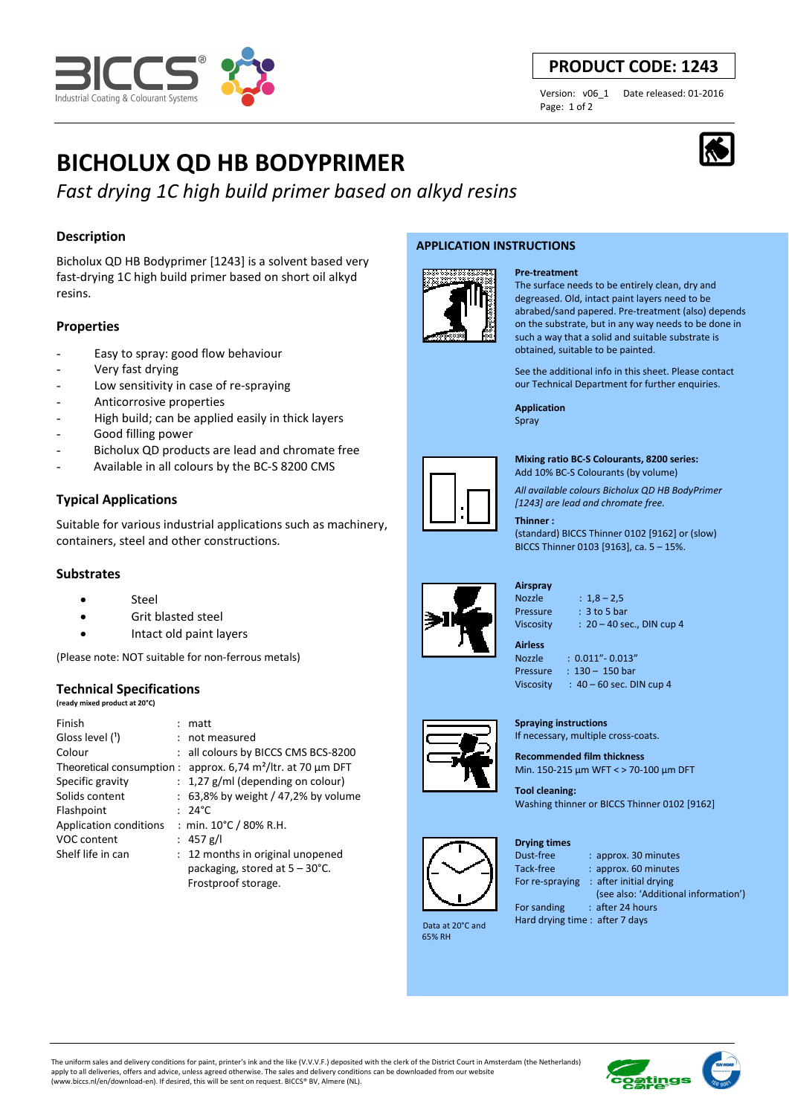

## **PRODUCT CODE: 1243**

Page: 1 of 2

Version: v06\_1 Date released: 01-2016

# **BICHOLUX QD HB BODYPRIMER**

# *Fast drying 1C high build primer based on alkyd resins*

### **Description**

Bicholux QD HB Bodyprimer [1243] is a solvent based very fast-drying 1C high build primer based on short oil alkyd resins.

#### **Properties**

- Easy to spray: good flow behaviour
- Very fast drying
- Low sensitivity in case of re-spraying
- Anticorrosive properties
- High build; can be applied easily in thick layers
- Good filling power
- Bicholux QD products are lead and chromate free
- Available in all colours by the BC-S 8200 CMS

#### **Typical Applications**

Suitable for various industrial applications such as machinery, containers, steel and other constructions.

#### **Substrates**

- Steel
- Grit blasted steel
- Intact old paint layers

(Please note: NOT suitable for non-ferrous metals)

#### **Technical Specifications**

**(ready mixed product at 20°C)**

| Finish                    | $:$ matt                                 |
|---------------------------|------------------------------------------|
| Gloss level (1)           | : not measured                           |
| Colour                    | : all colours by BICCS CMS BCS-8200      |
| Theoretical consumption : | approx. 6,74 $m^2$ /ltr. at 70 µm DFT    |
| Specific gravity          | $: 1,27$ g/ml (depending on colour)      |
| Solids content            | $: 63,8\%$ by weight / 47,2% by volume   |
| Flashpoint                | $: 24^{\circ}$ C                         |
| Application conditions    | : min. $10^{\circ}$ C / 80% R.H.         |
| <b>VOC content</b>        | : 457 g/l                                |
| Shelf life in can         | : 12 months in original unopened         |
|                           | packaging, stored at $5 - 30^{\circ}$ C. |
|                           | Frostproof storage.                      |

#### **APPLICATION INSTRUCTIONS**



#### **Pre-treatment**

The surface needs to be entirely clean, dry and degreased. Old, intact paint layers need to be abrabed/sand papered. Pre-treatment (also) depends on the substrate, but in any way needs to be done in such a way that a solid and suitable substrate is obtained, suitable to be painted.

See the additional info in this sheet. Please contact our Technical Department for further enquiries.

**Application**  Spray



**Mixing ratio BC-S Colourants, 8200 series:** 

Add 10% BC-S Colourants (by volume)

*All available colours Bicholux QD HB BodyPrimer [1243] are lead and chromate free.*

#### **Thinner :**

(standard) BICCS Thinner 0102 [9162] or (slow) BICCS Thinner 0103 [9163], ca. 5 – 15%.





- Nozzle : 1,8 2,5 Pressure : 3 to 5 bar Viscosity : 20 – 40 sec., DIN cup 4
- **Airless**

Nozzle : 0.011"- 0.013" Pressure : 130 - 150 bar Viscosity :  $40 - 60$  sec. DIN cup 4

**Spraying instructions**  If necessary, multiple cross-coats.

**Recommended film thickness**  Min. 150-215 µm WFT < > 70-100 µm DFT

**Tool cleaning:**  Washing thinner or BICCS Thinner 0102 [9162]

#### **Drying times**



Dust-free : approx. 30 minutes Tack-free : approx. 60 minutes For re-spraying : after initial drying

(see also: 'Additional information')

 Data at 20°C and 65% RH

For sanding : after 24 hours Hard drying time : after 7 days